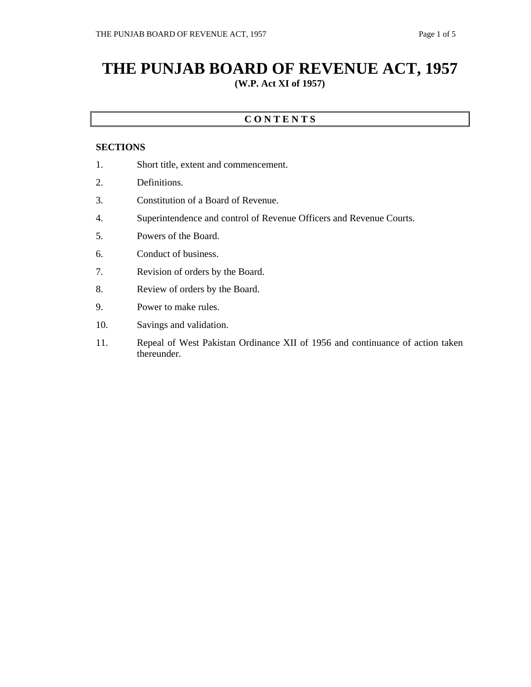## **THE PUNJAB BOARD OF REVENUE ACT, 1957 (W.P. Act XI of 1957)**

## **C O N T E N T S**

## **SECTIONS**

- 1. Short title, extent and commencement.
- 2. Definitions.
- 3. Constitution of a Board of Revenue.
- 4. Superintendence and control of Revenue Officers and Revenue Courts.
- 5. Powers of the Board.
- 6. Conduct of business.
- 7. Revision of orders by the Board.
- 8. Review of orders by the Board.
- 9. Power to make rules.
- 10. Savings and validation.
- 11. Repeal of West Pakistan Ordinance XII of 1956 and continuance of action taken thereunder.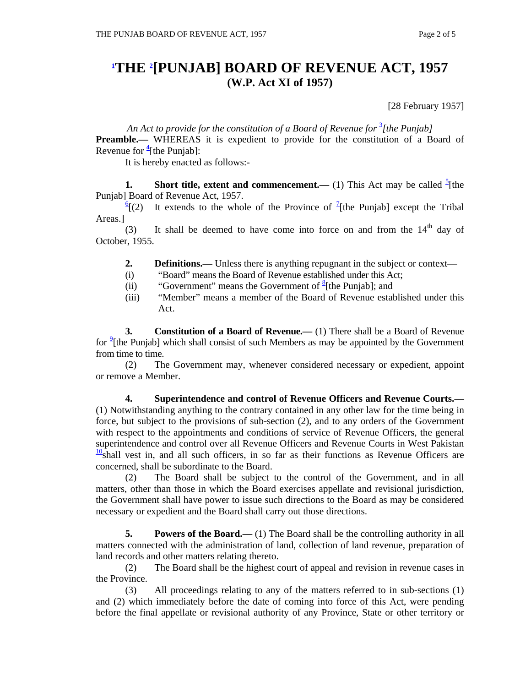## **1 THE 2 [PUNJAB] BOARD OF REVENUE ACT, 1957 (W.P. Act XI of 1957)**

[28 February 1957]

An Act to provide for the constitution of a Board of Revenue for <sup>3</sup>[the Punjab]

**Preamble.**— WHEREAS it is expedient to provide for the constitution of a Board of Revenue for **<sup>4</sup>** [the Punjab]:

It is hereby enacted as follows:-

**1.** Short title, extent and commencement.— (1) This Act may be called  $\frac{5}{2}$ [the Punjab] Board of Revenue Act, 1957.

 $\frac{6}{2}$  (2) It extends to the whole of the Province of <sup>7</sup>[the Punjab] except the Tribal Areas.]

(3) It shall be deemed to have come into force on and from the  $14<sup>th</sup>$  day of October, 1955.

- **2. Definitions.** Unless there is anything repugnant in the subject or context—
- (i) "Board" means the Board of Revenue established under this Act;
- (ii) "Government" means the Government of  $\frac{8}{3}$ [the Punjab]; and
- (iii) "Member" means a member of the Board of Revenue established under this Act.

 **3. Constitution of a Board of Revenue.—** (1) There shall be a Board of Revenue for <sup>9</sup>[the Punjab] which shall consist of such Members as may be appointed by the Government from time to time.

 (2) The Government may, whenever considered necessary or expedient, appoint or remove a Member.

 **4. Superintendence and control of Revenue Officers and Revenue Courts.—** (1) Notwithstanding anything to the contrary contained in any other law for the time being in force, but subject to the provisions of sub-section (2), and to any orders of the Government with respect to the appointments and conditions of service of Revenue Officers, the general superintendence and control over all Revenue Officers and Revenue Courts in West Pakistan  $\frac{10}{2}$ shall vest in, and all such officers, in so far as their functions as Revenue Officers are concerned, shall be subordinate to the Board.

 (2) The Board shall be subject to the control of the Government, and in all matters, other than those in which the Board exercises appellate and revisional jurisdiction, the Government shall have power to issue such directions to the Board as may be considered necessary or expedient and the Board shall carry out those directions.

**5.** Powers of the Board.— (1) The Board shall be the controlling authority in all matters connected with the administration of land, collection of land revenue, preparation of land records and other matters relating thereto.

 (2) The Board shall be the highest court of appeal and revision in revenue cases in the Province.

 (3) All proceedings relating to any of the matters referred to in sub-sections (1) and (2) which immediately before the date of coming into force of this Act, were pending before the final appellate or revisional authority of any Province, State or other territory or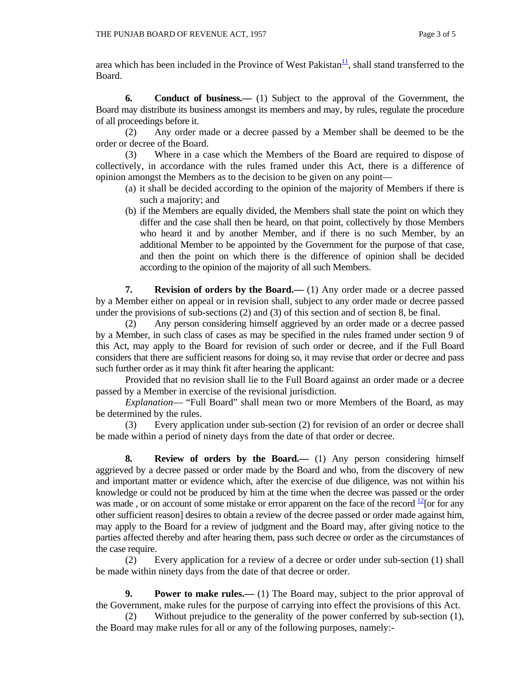area which has been included in the Province of West Pakistan $\frac{11}{1}$ , shall stand transferred to the Board.

 **6. Conduct of business.—** (1) Subject to the approval of the Government, the Board may distribute its business amongst its members and may, by rules, regulate the procedure of all proceedings before it.

 (2) Any order made or a decree passed by a Member shall be deemed to be the order or decree of the Board.

 (3) Where in a case which the Members of the Board are required to dispose of collectively, in accordance with the rules framed under this Act, there is a difference of opinion amongst the Members as to the decision to be given on any point—

- (a) it shall be decided according to the opinion of the majority of Members if there is such a majority; and
- (b) if the Members are equally divided, the Members shall state the point on which they differ and the case shall then be heard, on that point, collectively by those Members who heard it and by another Member, and if there is no such Member, by an additional Member to be appointed by the Government for the purpose of that case, and then the point on which there is the difference of opinion shall be decided according to the opinion of the majority of all such Members.

 **7. Revision of orders by the Board.—** (1) Any order made or a decree passed by a Member either on appeal or in revision shall, subject to any order made or decree passed under the provisions of sub-sections (2) and (3) of this section and of section 8, be final.

 (2) Any person considering himself aggrieved by an order made or a decree passed by a Member, in such class of cases as may be specified in the rules framed under section 9 of this Act, may apply to the Board for revision of such order or decree, and if the Full Board considers that there are sufficient reasons for doing so, it may revise that order or decree and pass such further order as it may think fit after hearing the applicant:

 Provided that no revision shall lie to the Full Board against an order made or a decree passed by a Member in exercise of the revisional jurisdiction.

 *Explanation*— "Full Board" shall mean two or more Members of the Board, as may be determined by the rules.

 (3) Every application under sub-section (2) for revision of an order or decree shall be made within a period of ninety days from the date of that order or decree.

 **8. Review of orders by the Board.—** (1) Any person considering himself aggrieved by a decree passed or order made by the Board and who, from the discovery of new and important matter or evidence which, after the exercise of due diligence, was not within his knowledge or could not be produced by him at the time when the decree was passed or the order was made, or on account of some mistake or error apparent on the face of the record  $\frac{12}{2}$  [or for any other sufficient reason] desires to obtain a review of the decree passed or order made against him, may apply to the Board for a review of judgment and the Board may, after giving notice to the parties affected thereby and after hearing them, pass such decree or order as the circumstances of the case require.

 (2) Every application for a review of a decree or order under sub-section (1) shall be made within ninety days from the date of that decree or order.

**9.** Power to make rules.— (1) The Board may, subject to the prior approval of the Government, make rules for the purpose of carrying into effect the provisions of this Act.

 (2) Without prejudice to the generality of the power conferred by sub-section (1), the Board may make rules for all or any of the following purposes, namely:-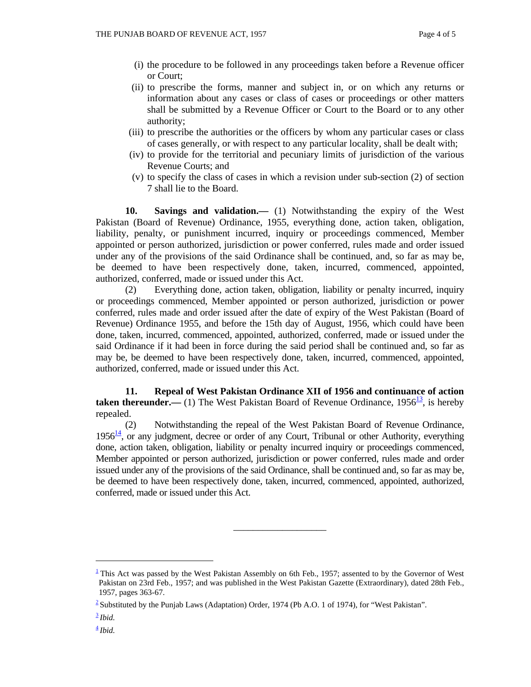- (i) the procedure to be followed in any proceedings taken before a Revenue officer or Court;
- (ii) to prescribe the forms, manner and subject in, or on which any returns or information about any cases or class of cases or proceedings or other matters shall be submitted by a Revenue Officer or Court to the Board or to any other authority;
- (iii) to prescribe the authorities or the officers by whom any particular cases or class of cases generally, or with respect to any particular locality, shall be dealt with;
- (iv) to provide for the territorial and pecuniary limits of jurisdiction of the various Revenue Courts; and
- (v) to specify the class of cases in which a revision under sub-section (2) of section 7 shall lie to the Board.

 **10. Savings and validation.—** (1) Notwithstanding the expiry of the West Pakistan (Board of Revenue) Ordinance, 1955, everything done, action taken, obligation, liability, penalty, or punishment incurred, inquiry or proceedings commenced, Member appointed or person authorized, jurisdiction or power conferred, rules made and order issued under any of the provisions of the said Ordinance shall be continued, and, so far as may be, be deemed to have been respectively done, taken, incurred, commenced, appointed, authorized, conferred, made or issued under this Act.

 (2) Everything done, action taken, obligation, liability or penalty incurred, inquiry or proceedings commenced, Member appointed or person authorized, jurisdiction or power conferred, rules made and order issued after the date of expiry of the West Pakistan (Board of Revenue) Ordinance 1955, and before the 15th day of August, 1956, which could have been done, taken, incurred, commenced, appointed, authorized, conferred, made or issued under the said Ordinance if it had been in force during the said period shall be continued and, so far as may be, be deemed to have been respectively done, taken, incurred, commenced, appointed, authorized, conferred, made or issued under this Act.

 **11. Repeal of West Pakistan Ordinance XII of 1956 and continuance of action taken thereunder.**— (1) The West Pakistan Board of Revenue Ordinance,  $1956\frac{13}{12}$ , is hereby repealed.

 (2) Notwithstanding the repeal of the West Pakistan Board of Revenue Ordinance, 1956 $\frac{14}{1}$ , or any judgment, decree or order of any Court, Tribunal or other Authority, everything done, action taken, obligation, liability or penalty incurred inquiry or proceedings commenced, Member appointed or person authorized, jurisdiction or power conferred, rules made and order issued under any of the provisions of the said Ordinance, shall be continued and, so far as may be, be deemed to have been respectively done, taken, incurred, commenced, appointed, authorized, conferred, made or issued under this Act.

\_\_\_\_\_\_\_\_\_\_\_\_\_\_\_\_\_\_\_

 $\overline{a}$ 

 $\frac{1}{2}$ This Act was passed by the West Pakistan Assembly on 6th Feb., 1957; assented to by the Governor of West Pakistan on 23rd Feb., 1957; and was published in the West Pakistan Gazette (Extraordinary), dated 28th Feb., 1957, pages 363-67.

<sup>&</sup>lt;sup>2</sup> Substituted by the Punjab Laws (Adaptation) Order, 1974 (Pb A.O. 1 of 1974), for "West Pakistan".

<sup>3</sup> *Ibid.*

 $\frac{4}{3}$ *Ibid.*